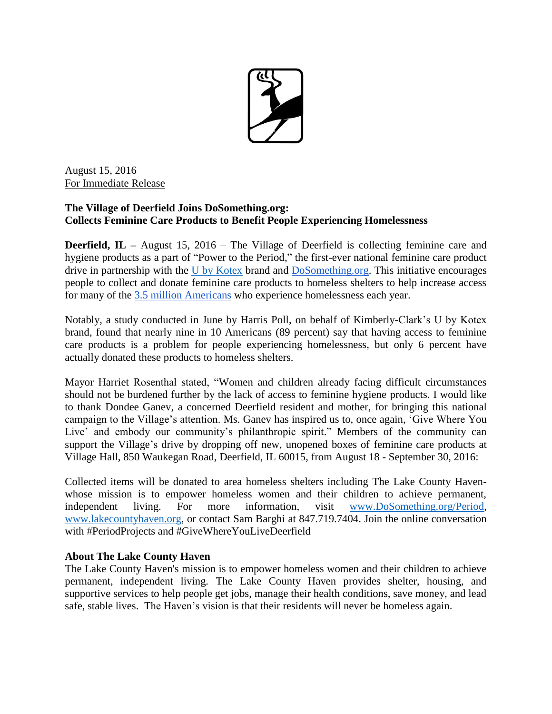

August 15, 2016 For Immediate Release

## **The Village of Deerfield Joins DoSomething.org: Collects Feminine Care Products to Benefit People Experiencing Homelessness**

**Deerfield, IL –** August 15, 2016 – The Village of Deerfield is collecting feminine care and hygiene products as a part of "Power to the Period," the first-ever national feminine care product drive in partnership with the [U by Kotex](https://www.ubykotex.com/en-us/) brand and [DoSomething.org.](https://www.dosomething.org/) This initiative encourages people to collect and donate feminine care products to homeless shelters to help increase access for many of the [3.5 million Americans](http://www.nationalhomeless.org/factsheets/How_Many.html) who experience homelessness each year.

Notably, a study conducted in June by Harris Poll, on behalf of Kimberly-Clark's U by Kotex brand, found that nearly nine in 10 Americans (89 percent) say that having access to feminine care products is a problem for people experiencing homelessness, but only 6 percent have actually donated these products to homeless shelters.

Mayor Harriet Rosenthal stated, "Women and children already facing difficult circumstances should not be burdened further by the lack of access to feminine hygiene products. I would like to thank Dondee Ganev, a concerned Deerfield resident and mother, for bringing this national campaign to the Village's attention. Ms. Ganev has inspired us to, once again, 'Give Where You Live' and embody our community's philanthropic spirit." Members of the community can support the Village's drive by dropping off new, unopened boxes of feminine care products at Village Hall, 850 Waukegan Road, Deerfield, IL 60015, from August 18 - September 30, 2016:

Collected items will be donated to area homeless shelters including The Lake County Havenwhose mission is to empower homeless women and their children to achieve permanent, independent living. For more information, visit [www.DoSomething.org/Period,](http://www.dosomething.org/Period) [www.lakecountyhaven.org,](http://www.lakecountyhaven.org/) or contact Sam Barghi at 847.719.7404. Join the online conversation with #PeriodProjects and #GiveWhereYouLiveDeerfield

## **About The Lake County Haven**

The Lake County Haven's mission is to empower homeless women and their children to achieve permanent, independent living. The Lake County Haven provides shelter, housing, and supportive services to help people get jobs, manage their health conditions, save money, and lead safe, stable lives. The Haven's vision is that their residents will never be homeless again.